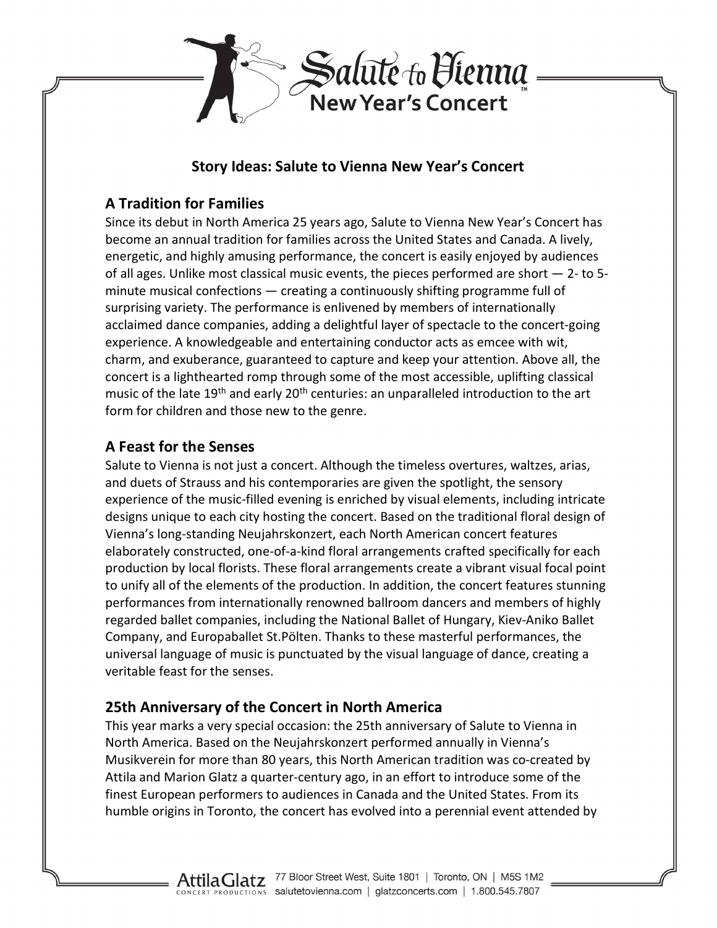

### Story Ideas: Salute to Vienna New Year's Concert

# A Tradition for Families

Since its debut in North America 25 years ago, Salute to Vienna New Year's Concert has become an annual tradition for families across the United States and Canada. A lively, energetic, and highly amusing performance, the concert is easily enjoyed by audiences of all ages. Unlike most classical music events, the pieces performed are short — 2- to 5 minute musical confections — creating a continuously shifting programme full of surprising variety. The performance is enlivened by members of internationally acclaimed dance companies, adding a delightful layer of spectacle to the concert-going experience. A knowledgeable and entertaining conductor acts as emcee with wit, charm, and exuberance, guaranteed to capture and keep your attention. Above all, the concert is a lighthearted romp through some of the most accessible, uplifting classical music of the late 19<sup>th</sup> and early 20<sup>th</sup> centuries: an unparalleled introduction to the art form for children and those new to the genre.

## A Feast for the Senses

Salute to Vienna is not just a concert. Although the timeless overtures, waltzes, arias, and duets of Strauss and his contemporaries are given the spotlight, the sensory experience of the music-filled evening is enriched by visual elements, including intricate designs unique to each city hosting the concert. Based on the traditional floral design of Vienna's long-standing Neujahrskonzert, each North American concert features elaborately constructed, one-of-a-kind floral arrangements crafted specifically for each production by local florists. These floral arrangements create a vibrant visual focal point to unify all of the elements of the production. In addition, the concert features stunning performances from internationally renowned ballroom dancers and members of highly regarded ballet companies, including the National Ballet of Hungary, Kiev-Aniko Ballet Company, and Europaballet St.Pölten. Thanks to these masterful performances, the universal language of music is punctuated by the visual language of dance, creating a veritable feast for the senses.

# 25th Anniversary of the Concert in North America

This year marks a very special occasion: the 25th anniversary of Salute to Vienna in North America. Based on the Neujahrskonzert performed annually in Vienna's Musikverein for more than 80 years, this North American tradition was co-created by Attila and Marion Glatz a quarter-century ago, in an effort to introduce some of the finest European performers to audiences in Canada and the United States. From its humble origins in Toronto, the concert has evolved into a perennial event attended by